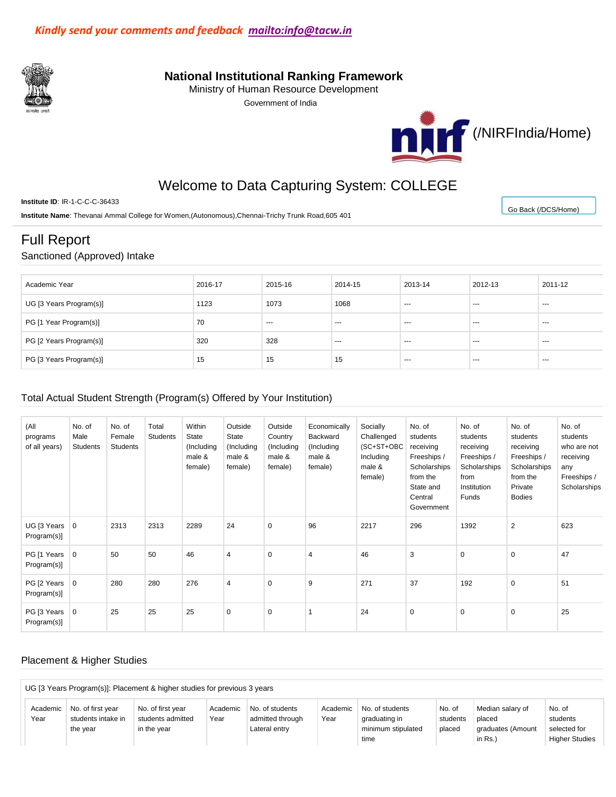

## **National Institutional Ranking Framework**

Ministry of Human Resource Development

Government of India



[Go Back \(/DCS/Home\)](http://nirfweb.cloudapp.net/DCS/Home)

# Welcome to Data Capturing System: COLLEGE

**Institute ID**: IR-1-C-C-C-36433

**Institute Name**: Thevanai Ammal College for Women,(Autonomous),Chennai-Trichy Trunk Road,605 401

# Full Report

### Sanctioned (Approved) Intake

| Academic Year           | 2016-17 | 2015-16 | 2014-15 | 2013-14 | 2012-13 | 2011-12              |
|-------------------------|---------|---------|---------|---------|---------|----------------------|
| UG [3 Years Program(s)] | 1123    | 1073    | 1068    | ---     | ---     | $\sim$ $\sim$ $\sim$ |
| PG [1 Year Program(s)]  | 70      | ---     | $- - -$ | ---     | ---     | $\sim$ $\sim$        |
| PG [2 Years Program(s)] | 320     | 328     | ---     | ---     | ---     | $\sim$ $\sim$ $\sim$ |
| PG [3 Years Program(s)] | 15      | 15      | 15      | $--$    | ---     | $\sim$ $\sim$ $\sim$ |

### Total Actual Student Strength (Program(s) Offered by Your Institution)

| (All<br>programs<br>of all years)    | No. of<br>Male<br>Students | No. of<br>Female<br><b>Students</b> | Total<br><b>Students</b> | Within<br>State<br>(Including<br>male &<br>female) | Outside<br>State<br>(Including<br>male &<br>female) | Outside<br>Country<br>(Including<br>male &<br>female) | Economically<br>Backward<br>(Including)<br>male &<br>female) | Socially<br>Challenged<br>(SC+ST+OBC<br>Including<br>male &<br>female) | No. of<br>students<br>receiving<br>Freeships /<br>Scholarships<br>from the<br>State and<br>Central<br>Government | No. of<br>students<br>receiving<br>Freeships /<br>Scholarships<br>from<br>Institution<br>Funds | No. of<br>students<br>receiving<br>Freeships /<br>Scholarships<br>from the<br>Private<br><b>Bodies</b> | No. of<br>students<br>who are not<br>receiving<br>any<br>Freeships /<br>Scholarships |
|--------------------------------------|----------------------------|-------------------------------------|--------------------------|----------------------------------------------------|-----------------------------------------------------|-------------------------------------------------------|--------------------------------------------------------------|------------------------------------------------------------------------|------------------------------------------------------------------------------------------------------------------|------------------------------------------------------------------------------------------------|--------------------------------------------------------------------------------------------------------|--------------------------------------------------------------------------------------|
| UG [3 Years $\vert$ 0<br>Program(s)] |                            | 2313                                | 2313                     | 2289                                               | 24                                                  | $\mathbf 0$                                           | 96                                                           | 2217                                                                   | 296                                                                                                              | 1392                                                                                           | $\overline{2}$                                                                                         | 623                                                                                  |
| PG [1 Years 0<br>Program(s)]         |                            | 50                                  | 50                       | 46                                                 | $\overline{4}$                                      | $\mathbf 0$                                           | $\overline{4}$                                               | 46                                                                     | 3                                                                                                                | $\mathbf 0$                                                                                    | $\mathbf 0$                                                                                            | 47                                                                                   |
| PG [2 Years 0<br>Program(s)]         |                            | 280                                 | 280                      | 276                                                | 4                                                   | $\mathbf 0$                                           | 9                                                            | 271                                                                    | 37                                                                                                               | 192                                                                                            | $\mathbf 0$                                                                                            | 51                                                                                   |
| PG [3 Years 0<br>Program(s)]         |                            | 25                                  | 25                       | 25                                                 | $\mathbf 0$                                         | $\mathbf 0$                                           |                                                              | 24                                                                     | $\mathbf 0$                                                                                                      | $\mathbf 0$                                                                                    | $\mathbf 0$                                                                                            | 25                                                                                   |

## Placement & Higher Studies

|          |                                                                                                                                              | UG [3 Years Program(s)]: Placement & higher studies for previous 3 years |      |                  |      |                    |          |                   |                       |  |  |  |
|----------|----------------------------------------------------------------------------------------------------------------------------------------------|--------------------------------------------------------------------------|------|------------------|------|--------------------|----------|-------------------|-----------------------|--|--|--|
| Academic | No. of<br>No. of first year<br>No. of first year<br>No. of students<br>Median salary of<br>No. of students<br>No. of<br>Academic<br>Academic |                                                                          |      |                  |      |                    |          |                   |                       |  |  |  |
| Year     | students intake in                                                                                                                           | students admitted                                                        | Year | admitted through | Year | graduating in      | students | placed            | students              |  |  |  |
|          | the vear                                                                                                                                     | in the vear                                                              |      | Lateral entry    |      | minimum stipulated | placed   | graduates (Amount | selected for          |  |  |  |
|          |                                                                                                                                              |                                                                          |      |                  |      | time               |          | in Rs.)           | <b>Higher Studies</b> |  |  |  |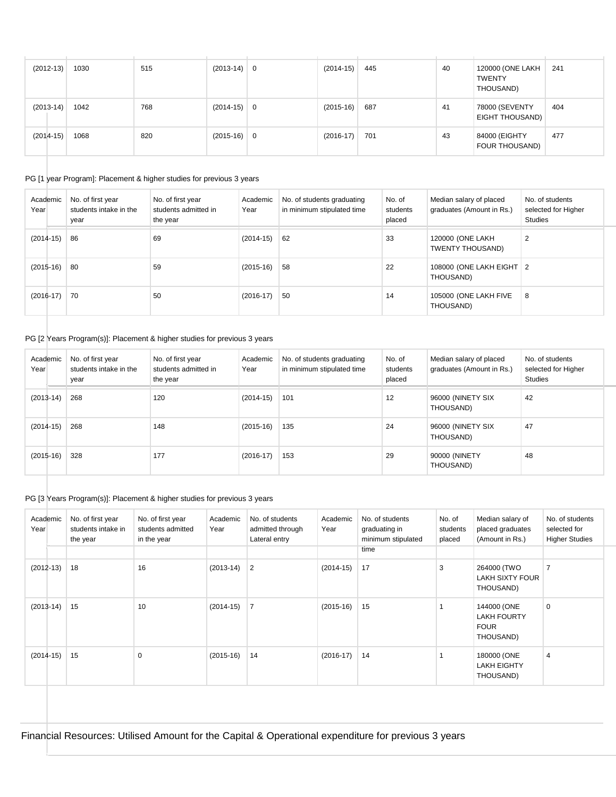| $(2012-13)$ | 1030 | 515 | $(2013-14)$ 0 | $(2014-15)$ | 445 | 40 | 120000 (ONE LAKH<br><b>TWENTY</b><br>THOUSAND) | 241 |
|-------------|------|-----|---------------|-------------|-----|----|------------------------------------------------|-----|
| $(2013-14)$ | 1042 | 768 | $(2014-15)$ 0 | $(2015-16)$ | 687 | 41 | 78000 (SEVENTY<br><b>EIGHT THOUSAND)</b>       | 404 |
| $(2014-15)$ | 1068 | 820 | $(2015-16)$ 0 | $(2016-17)$ | 701 | 43 | 84000 (EIGHTY<br>FOUR THOUSAND)                | 477 |

#### PG [1 year Program]: Placement & higher studies for previous 3 years

| Academic<br>Year | No. of first year<br>students intake in the<br>year | No. of first year<br>students admitted in<br>the year | Academic<br>Year | No. of students graduating<br>in minimum stipulated time | No. of<br>students<br>placed | Median salary of placed<br>graduates (Amount in Rs.) | No. of students<br>selected for Higher<br><b>Studies</b> |
|------------------|-----------------------------------------------------|-------------------------------------------------------|------------------|----------------------------------------------------------|------------------------------|------------------------------------------------------|----------------------------------------------------------|
| $(2014-15)$      | 86                                                  | 69                                                    | $(2014-15)$      | 62                                                       | 33                           | 120000 (ONE LAKH<br>TWENTY THOUSAND)                 | $\overline{2}$                                           |
| $(2015-16)$      | -80                                                 | 59                                                    | $(2015-16)$      | 58                                                       | 22                           | 108000 (ONE LAKH EIGHT   2<br>THOUSAND)              |                                                          |
| $(2016-17)$      | 70                                                  | 50                                                    | $(2016-17)$      | 50                                                       | 14                           | 105000 (ONE LAKH FIVE<br>THOUSAND)                   | 8                                                        |

## PG [2 Years Program(s)]: Placement & higher studies for previous 3 years

| Academic<br>Year | No. of first year<br>students intake in the<br>year | No. of first year<br>students admitted in<br>the year | Academic<br>Year | No. of students graduating<br>in minimum stipulated time | No. of<br>students<br>placed | Median salary of placed<br>graduates (Amount in Rs.) | No. of students<br>selected for Higher<br><b>Studies</b> |
|------------------|-----------------------------------------------------|-------------------------------------------------------|------------------|----------------------------------------------------------|------------------------------|------------------------------------------------------|----------------------------------------------------------|
| $(2013-14)$      | 268                                                 | 120                                                   | $(2014-15)$      | 101                                                      | 12                           | 96000 (NINETY SIX<br>THOUSAND)                       | 42                                                       |
| $(2014-15)$      | 268                                                 | 148                                                   | $(2015-16)$      | 135                                                      | 24                           | 96000 (NINETY SIX<br>THOUSAND)                       | 47                                                       |
| $(2015-16)$      | 328                                                 | 177                                                   | $(2016-17)$      | 153                                                      | 29                           | 90000 (NINETY<br>THOUSAND)                           | 48                                                       |

## PG [3 Years Program(s)]: Placement & higher studies for previous 3 years

| Academic<br>Year | No. of first year<br>students intake in<br>the year | No. of first year<br>students admitted<br>in the year | Academic<br>Year | No. of students<br>admitted through<br>Lateral entry | Academic<br>Year | No. of students<br>graduating in<br>minimum stipulated<br>time | No. of<br>students<br>placed | Median salary of<br>placed graduates<br>(Amount in Rs.)       | No. of students<br>selected for<br><b>Higher Studies</b> |
|------------------|-----------------------------------------------------|-------------------------------------------------------|------------------|------------------------------------------------------|------------------|----------------------------------------------------------------|------------------------------|---------------------------------------------------------------|----------------------------------------------------------|
| $(2012-13)$      | 18                                                  | 16                                                    | $(2013-14)$      | 2                                                    | $(2014-15)$      | 17                                                             | 3                            | 264000 (TWO<br>LAKH SIXTY FOUR<br>THOUSAND)                   | $\overline{7}$                                           |
| $(2013-14)$      | 15                                                  | 10                                                    | $(2014-15)$      | $\overline{7}$                                       | $(2015-16)$      | 15                                                             |                              | 144000 (ONE<br><b>LAKH FOURTY</b><br><b>FOUR</b><br>THOUSAND) | $\mathbf 0$                                              |
| $(2014-15)$      | 15                                                  | 0                                                     | $(2015-16)$      | 14                                                   | $(2016-17)$      | 14                                                             |                              | 180000 (ONE<br><b>LAKH EIGHTY</b><br>THOUSAND)                | 4                                                        |

Financial Resources: Utilised Amount for the Capital & Operational expenditure for previous 3 years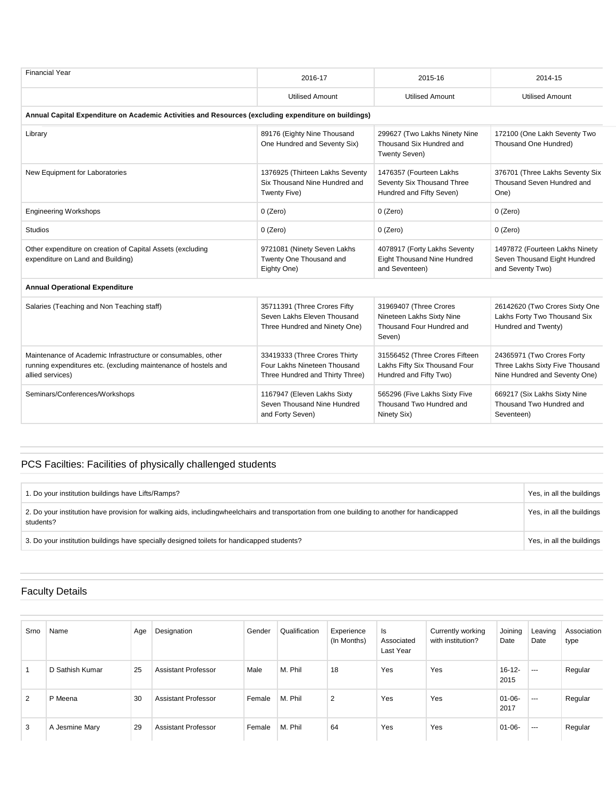| 2016-17                                                                                              |                                                                                            |                                                                                                |
|------------------------------------------------------------------------------------------------------|--------------------------------------------------------------------------------------------|------------------------------------------------------------------------------------------------|
|                                                                                                      | 2015-16                                                                                    | 2014-15                                                                                        |
| <b>Utilised Amount</b>                                                                               | <b>Utilised Amount</b>                                                                     | <b>Utilised Amount</b>                                                                         |
| Annual Capital Expenditure on Academic Activities and Resources (excluding expenditure on buildings) |                                                                                            |                                                                                                |
| 89176 (Eighty Nine Thousand<br>One Hundred and Seventy Six)                                          | 299627 (Two Lakhs Ninety Nine<br>Thousand Six Hundred and<br>Twenty Seven)                 | 172100 (One Lakh Seventy Two<br>Thousand One Hundred)                                          |
| 1376925 (Thirteen Lakhs Seventy<br>Six Thousand Nine Hundred and<br>Twenty Five)                     | 1476357 (Fourteen Lakhs<br>Seventy Six Thousand Three<br>Hundred and Fifty Seven)          | 376701 (Three Lakhs Seventy Six<br>Thousand Seven Hundred and<br>One)                          |
| $0$ (Zero)                                                                                           | $0$ (Zero)                                                                                 | $0$ (Zero)                                                                                     |
| $0$ (Zero)                                                                                           | $0$ (Zero)                                                                                 | $0$ (Zero)                                                                                     |
| 9721081 (Ninety Seven Lakhs<br>Twenty One Thousand and<br>Eighty One)                                | 4078917 (Forty Lakhs Seventy<br>Eight Thousand Nine Hundred<br>and Seventeen)              | 1497872 (Fourteen Lakhs Ninety<br>Seven Thousand Eight Hundred<br>and Seventy Two)             |
|                                                                                                      |                                                                                            |                                                                                                |
| 35711391 (Three Crores Fifty<br>Seven Lakhs Eleven Thousand<br>Three Hundred and Ninety One)         | 31969407 (Three Crores<br>Nineteen Lakhs Sixty Nine<br>Thousand Four Hundred and<br>Seven) | 26142620 (Two Crores Sixty One<br>Lakhs Forty Two Thousand Six<br>Hundred and Twenty)          |
| 33419333 (Three Crores Thirty<br>Four Lakhs Nineteen Thousand<br>Three Hundred and Thirty Three)     | 31556452 (Three Crores Fifteen<br>Lakhs Fifty Six Thousand Four<br>Hundred and Fifty Two)  | 24365971 (Two Crores Forty<br>Three Lakhs Sixty Five Thousand<br>Nine Hundred and Seventy One) |
| 1167947 (Eleven Lakhs Sixty<br>Seven Thousand Nine Hundred<br>and Forty Seven)                       | 565296 (Five Lakhs Sixty Five<br>Thousand Two Hundred and<br>Ninety Six)                   | 669217 (Six Lakhs Sixty Nine<br>Thousand Two Hundred and<br>Seventeen)                         |
|                                                                                                      |                                                                                            |                                                                                                |

# PCS Facilties: Facilities of physically challenged students

| I. Do your institution buildings have Lifts/Ramps?                                                                                                        | Yes, in all the buildings |
|-----------------------------------------------------------------------------------------------------------------------------------------------------------|---------------------------|
| 2. Do your institution have provision for walking aids, includingwheelchairs and transportation from one building to another for handicapped<br>students? | Yes, in all the buildings |
| 3. Do your institution buildings have specially designed toilets for handicapped students?                                                                | Yes, in all the buildings |

## Faculty Details

| Srno | Name            | Age | Designation                | Gender | Qualification | Experience<br>(In Months) | ls.<br>Associated<br>Last Year | Currently working<br>with institution? | Joining<br>Date     | Leaving<br>Date | Association<br>type |
|------|-----------------|-----|----------------------------|--------|---------------|---------------------------|--------------------------------|----------------------------------------|---------------------|-----------------|---------------------|
|      | D Sathish Kumar | 25  | <b>Assistant Professor</b> | Male   | M. Phil       | 18                        | Yes                            | Yes                                    | $16 - 12 -$<br>2015 | $\cdots$        | Regular             |
| 2    | P Meena         | 30  | <b>Assistant Professor</b> | Female | M. Phil       | 2                         | Yes                            | Yes                                    | $01 - 06 -$<br>2017 | $\cdots$        | Regular             |
| 3    | A Jesmine Mary  | 29  | Assistant Professor        | Female | M. Phil       | 64                        | Yes                            | Yes                                    | $01 - 06 -$         | $---$           | Regular             |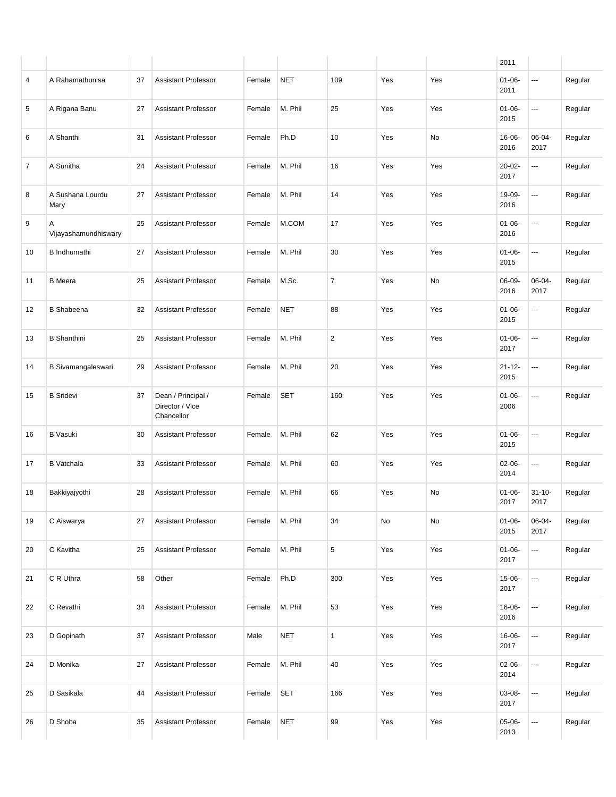|    |                           |    |                                                     |        |            |                |     |     | 2011                |                          |         |
|----|---------------------------|----|-----------------------------------------------------|--------|------------|----------------|-----|-----|---------------------|--------------------------|---------|
| 4  | A Rahamathunisa           | 37 | <b>Assistant Professor</b>                          | Female | <b>NET</b> | 109            | Yes | Yes | $01 - 06 -$<br>2011 | ---                      | Regular |
| 5  | A Rigana Banu             | 27 | <b>Assistant Professor</b>                          | Female | M. Phil    | 25             | Yes | Yes | $01 - 06 -$<br>2015 | $\sim$                   | Regular |
| 6  | A Shanthi                 | 31 | <b>Assistant Professor</b>                          | Female | Ph.D       | 10             | Yes | No  | 16-06-<br>2016      | 06-04-<br>2017           | Regular |
| 7  | A Sunitha                 | 24 | <b>Assistant Professor</b>                          | Female | M. Phil    | 16             | Yes | Yes | $20 - 02 -$<br>2017 | $\sim$                   | Regular |
| 8  | A Sushana Lourdu<br>Mary  | 27 | <b>Assistant Professor</b>                          | Female | M. Phil    | 14             | Yes | Yes | 19-09-<br>2016      | $\overline{\phantom{a}}$ | Regular |
| 9  | Α<br>Vijayashamundhiswary | 25 | Assistant Professor                                 | Female | M.COM      | 17             | Yes | Yes | $01 - 06 -$<br>2016 | $\sim$                   | Regular |
| 10 | <b>B</b> Indhumathi       | 27 | <b>Assistant Professor</b>                          | Female | M. Phil    | 30             | Yes | Yes | $01 - 06 -$<br>2015 | $\overline{\phantom{a}}$ | Regular |
| 11 | <b>B</b> Meera            | 25 | Assistant Professor                                 | Female | M.Sc.      | $\overline{7}$ | Yes | No  | 06-09-<br>2016      | 06-04-<br>2017           | Regular |
| 12 | <b>B</b> Shabeena         | 32 | <b>Assistant Professor</b>                          | Female | <b>NET</b> | 88             | Yes | Yes | $01 - 06 -$<br>2015 | $\overline{\phantom{a}}$ | Regular |
| 13 | <b>B</b> Shanthini        | 25 | <b>Assistant Professor</b>                          | Female | M. Phil    | $\overline{2}$ | Yes | Yes | $01 - 06 -$<br>2017 | $\sim$                   | Regular |
| 14 | B Sivamangaleswari        | 29 | <b>Assistant Professor</b>                          | Female | M. Phil    | 20             | Yes | Yes | $21 - 12 -$<br>2015 | $\sim$                   | Regular |
| 15 | <b>B</b> Sridevi          | 37 | Dean / Principal /<br>Director / Vice<br>Chancellor | Female | <b>SET</b> | 160            | Yes | Yes | $01 - 06 -$<br>2006 | ---                      | Regular |
| 16 | <b>B</b> Vasuki           | 30 | <b>Assistant Professor</b>                          | Female | M. Phil    | 62             | Yes | Yes | $01 - 06 -$<br>2015 | $\sim$ $\sim$            | Regular |
| 17 | <b>B</b> Vatchala         | 33 | <b>Assistant Professor</b>                          | Female | M. Phil    | 60             | Yes | Yes | $02 - 06 -$<br>2014 | $\sim$                   | Regular |
| 18 | Bakkiyajyothi             | 28 | <b>Assistant Professor</b>                          | Female | M. Phil    | 66             | Yes | No  | $01 - 06 -$<br>2017 | $31 - 10 -$<br>2017      | Regular |
| 19 | C Aiswarya                | 27 | <b>Assistant Professor</b>                          | Female | M. Phil    | 34             | No  | No  | $01 - 06 -$<br>2015 | 06-04-<br>2017           | Regular |
| 20 | C Kavitha                 | 25 | <b>Assistant Professor</b>                          | Female | M. Phil    | 5              | Yes | Yes | $01 - 06 -$<br>2017 | $\hspace{0.05cm} \ldots$ | Regular |
| 21 | C R Uthra                 | 58 | Other                                               | Female | Ph.D       | 300            | Yes | Yes | $15 - 06 -$<br>2017 | $\hspace{0.05cm} \ldots$ | Regular |
| 22 | C Revathi                 | 34 | <b>Assistant Professor</b>                          | Female | M. Phil    | 53             | Yes | Yes | 16-06-<br>2016      | $\overline{\phantom{a}}$ | Regular |
| 23 | D Gopinath                | 37 | <b>Assistant Professor</b>                          | Male   | <b>NET</b> | $\mathbf{1}$   | Yes | Yes | 16-06-<br>2017      | $\overline{\phantom{a}}$ | Regular |
| 24 | D Monika                  | 27 | Assistant Professor                                 | Female | M. Phil    | 40             | Yes | Yes | $02 - 06 -$<br>2014 | $\overline{\phantom{a}}$ | Regular |
| 25 | D Sasikala                | 44 | <b>Assistant Professor</b>                          | Female | <b>SET</b> | 166            | Yes | Yes | 03-08-<br>2017      | $\hspace{0.05cm} \ldots$ | Regular |
| 26 | D Shoba                   | 35 | Assistant Professor                                 | Female | NET        | 99             | Yes | Yes | $05-06-$<br>2013    | ---                      | Regular |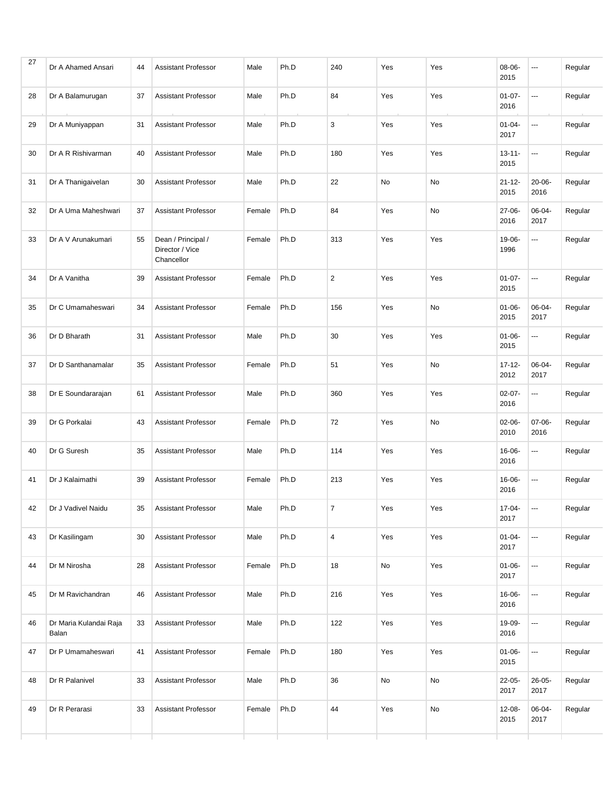| 27 | Dr A Ahamed Ansari              | 44 | <b>Assistant Professor</b>                          | Male   | Ph.D | 240            | Yes | Yes | 08-06-<br>2015      | ---                      | Regular |
|----|---------------------------------|----|-----------------------------------------------------|--------|------|----------------|-----|-----|---------------------|--------------------------|---------|
| 28 | Dr A Balamurugan                | 37 | <b>Assistant Professor</b>                          | Male   | Ph.D | 84             | Yes | Yes | $01 - 07 -$<br>2016 | ---                      | Regular |
| 29 | Dr A Muniyappan                 | 31 | <b>Assistant Professor</b>                          | Male   | Ph.D | 3              | Yes | Yes | $01 - 04 -$<br>2017 | ---                      | Regular |
| 30 | Dr A R Rishivarman              | 40 | <b>Assistant Professor</b>                          | Male   | Ph.D | 180            | Yes | Yes | $13 - 11 -$<br>2015 | ---                      | Regular |
| 31 | Dr A Thanigaivelan              | 30 | <b>Assistant Professor</b>                          | Male   | Ph.D | 22             | No  | No  | $21 - 12 -$<br>2015 | $20 - 06 -$<br>2016      | Regular |
| 32 | Dr A Uma Maheshwari             | 37 | <b>Assistant Professor</b>                          | Female | Ph.D | 84             | Yes | No  | 27-06-<br>2016      | 06-04-<br>2017           | Regular |
| 33 | Dr A V Arunakumari              | 55 | Dean / Principal /<br>Director / Vice<br>Chancellor | Female | Ph.D | 313            | Yes | Yes | 19-06-<br>1996      | ---                      | Regular |
| 34 | Dr A Vanitha                    | 39 | <b>Assistant Professor</b>                          | Female | Ph.D | $\overline{2}$ | Yes | Yes | $01 - 07 -$<br>2015 | ---                      | Regular |
| 35 | Dr C Umamaheswari               | 34 | <b>Assistant Professor</b>                          | Female | Ph.D | 156            | Yes | No  | $01 - 06 -$<br>2015 | 06-04-<br>2017           | Regular |
| 36 | Dr D Bharath                    | 31 | <b>Assistant Professor</b>                          | Male   | Ph.D | 30             | Yes | Yes | $01 - 06 -$<br>2015 | ---                      | Regular |
| 37 | Dr D Santhanamalar              | 35 | <b>Assistant Professor</b>                          | Female | Ph.D | 51             | Yes | No  | $17 - 12 -$<br>2012 | 06-04-<br>2017           | Regular |
| 38 | Dr E Soundararajan              | 61 | <b>Assistant Professor</b>                          | Male   | Ph.D | 360            | Yes | Yes | $02 - 07 -$<br>2016 | ---                      | Regular |
| 39 | Dr G Porkalai                   | 43 | <b>Assistant Professor</b>                          | Female | Ph.D | 72             | Yes | No  | $02 - 06 -$<br>2010 | $07-06-$<br>2016         | Regular |
| 40 | Dr G Suresh                     | 35 | <b>Assistant Professor</b>                          | Male   | Ph.D | 114            | Yes | Yes | 16-06-<br>2016      | ---                      | Regular |
| 41 | Dr J Kalaimathi                 | 39 | <b>Assistant Professor</b>                          | Female | Ph.D | 213            | Yes | Yes | 16-06-<br>2016      | ---                      | Regular |
| 42 | Dr J Vadivel Naidu              | 35 | <b>Assistant Professor</b>                          | Male   | Ph.D | $\overline{7}$ | Yes | Yes | $17 - 04 -$<br>2017 | $\overline{\phantom{a}}$ | Regular |
| 43 | Dr Kasilingam                   | 30 | <b>Assistant Professor</b>                          | Male   | Ph.D | $\sqrt{4}$     | Yes | Yes | $01 - 04 -$<br>2017 | $\overline{\phantom{a}}$ | Regular |
| 44 | Dr M Nirosha                    | 28 | <b>Assistant Professor</b>                          | Female | Ph.D | 18             | No  | Yes | $01 - 06 -$<br>2017 | ---                      | Regular |
| 45 | Dr M Ravichandran               | 46 | <b>Assistant Professor</b>                          | Male   | Ph.D | 216            | Yes | Yes | 16-06-<br>2016      |                          | Regular |
| 46 | Dr Maria Kulandai Raja<br>Balan | 33 | Assistant Professor                                 | Male   | Ph.D | 122            | Yes | Yes | 19-09-<br>2016      | ---                      | Regular |
| 47 | Dr P Umamaheswari               | 41 | <b>Assistant Professor</b>                          | Female | Ph.D | 180            | Yes | Yes | $01 - 06 -$<br>2015 | $\hspace{0.05cm}\ldots$  | Regular |
| 48 | Dr R Palanivel                  | 33 | Assistant Professor                                 | Male   | Ph.D | 36             | No  | No  | $22 - 05 -$<br>2017 | $26 - 05 -$<br>2017      | Regular |
| 49 | Dr R Perarasi                   | 33 | Assistant Professor                                 | Female | Ph.D | 44             | Yes | No  | 12-08-<br>2015      | 06-04-<br>2017           | Regular |
|    |                                 |    |                                                     |        |      |                |     |     |                     |                          |         |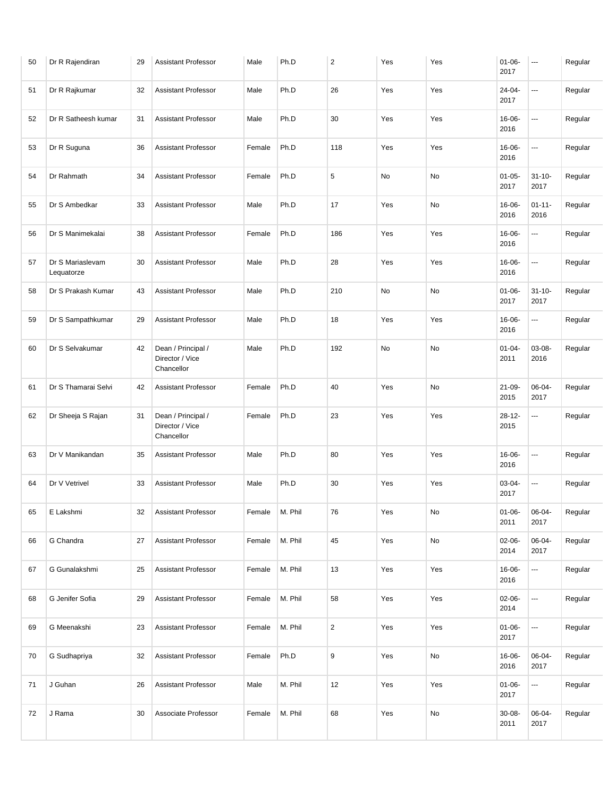| 50 | Dr R Rajendiran                | 29 | <b>Assistant Professor</b>                          | Male   | Ph.D    | $\overline{2}$ | Yes | Yes | $01 - 06 -$<br>2017 | ---                      | Regular |
|----|--------------------------------|----|-----------------------------------------------------|--------|---------|----------------|-----|-----|---------------------|--------------------------|---------|
| 51 | Dr R Rajkumar                  | 32 | <b>Assistant Professor</b>                          | Male   | Ph.D    | 26             | Yes | Yes | 24-04-<br>2017      | $\overline{\phantom{a}}$ | Regular |
| 52 | Dr R Satheesh kumar            | 31 | <b>Assistant Professor</b>                          | Male   | Ph.D    | 30             | Yes | Yes | 16-06-<br>2016      | $\overline{\phantom{a}}$ | Regular |
| 53 | Dr R Suguna                    | 36 | <b>Assistant Professor</b>                          | Female | Ph.D    | 118            | Yes | Yes | 16-06-<br>2016      | $\overline{\phantom{a}}$ | Regular |
| 54 | Dr Rahmath                     | 34 | <b>Assistant Professor</b>                          | Female | Ph.D    | 5              | No  | No  | $01 - 05 -$<br>2017 | $31 - 10 -$<br>2017      | Regular |
| 55 | Dr S Ambedkar                  | 33 | <b>Assistant Professor</b>                          | Male   | Ph.D    | 17             | Yes | No  | 16-06-<br>2016      | $01 - 11 -$<br>2016      | Regular |
| 56 | Dr S Manimekalai               | 38 | <b>Assistant Professor</b>                          | Female | Ph.D    | 186            | Yes | Yes | 16-06-<br>2016      | $\overline{\phantom{a}}$ | Regular |
| 57 | Dr S Mariaslevam<br>Lequatorze | 30 | <b>Assistant Professor</b>                          | Male   | Ph.D    | 28             | Yes | Yes | 16-06-<br>2016      | $\overline{\phantom{a}}$ | Regular |
| 58 | Dr S Prakash Kumar             | 43 | <b>Assistant Professor</b>                          | Male   | Ph.D    | 210            | No  | No  | $01 - 06 -$<br>2017 | $31 - 10 -$<br>2017      | Regular |
| 59 | Dr S Sampathkumar              | 29 | <b>Assistant Professor</b>                          | Male   | Ph.D    | 18             | Yes | Yes | 16-06-<br>2016      | $\overline{\phantom{a}}$ | Regular |
| 60 | Dr S Selvakumar                | 42 | Dean / Principal /<br>Director / Vice<br>Chancellor | Male   | Ph.D    | 192            | No  | No  | $01 - 04 -$<br>2011 | 03-08-<br>2016           | Regular |
| 61 | Dr S Thamarai Selvi            | 42 | <b>Assistant Professor</b>                          | Female | Ph.D    | 40             | Yes | No  | $21 - 09 -$<br>2015 | 06-04-<br>2017           | Regular |
| 62 | Dr Sheeja S Rajan              | 31 | Dean / Principal /<br>Director / Vice<br>Chancellor | Female | Ph.D    | 23             | Yes | Yes | $28 - 12 -$<br>2015 | ---                      | Regular |
| 63 | Dr V Manikandan                | 35 | <b>Assistant Professor</b>                          | Male   | Ph.D    | 80             | Yes | Yes | 16-06-<br>2016      | $\sim$                   | Regular |
| 64 | Dr V Vetrivel                  | 33 | <b>Assistant Professor</b>                          | Male   | Ph.D    | 30             | Yes | Yes | $03 - 04 -$<br>2017 | $\overline{\phantom{a}}$ | Regular |
| 65 | E Lakshmi                      | 32 | Assistant Professor                                 | Female | M. Phil | 76             | Yes | No  | $01 - 06 -$<br>2011 | 06-04-<br>2017           | Regular |
| 66 | G Chandra                      | 27 | Assistant Professor                                 | Female | M. Phil | 45             | Yes | No  | $02 - 06 -$<br>2014 | 06-04-<br>2017           | Regular |
| 67 | G Gunalakshmi                  | 25 | Assistant Professor                                 | Female | M. Phil | 13             | Yes | Yes | 16-06-<br>2016      | $\overline{\phantom{a}}$ | Regular |
| 68 | G Jenifer Sofia                | 29 | Assistant Professor                                 | Female | M. Phil | 58             | Yes | Yes | $02 - 06 -$<br>2014 | $\hspace{0.05cm} \ldots$ | Regular |
| 69 | G Meenakshi                    | 23 | Assistant Professor                                 | Female | M. Phil | $\overline{2}$ | Yes | Yes | $01 - 06 -$<br>2017 | $\hspace{0.05cm} \ldots$ | Regular |
| 70 | G Sudhapriya                   | 32 | <b>Assistant Professor</b>                          | Female | Ph.D    | 9              | Yes | No  | 16-06-<br>2016      | 06-04-<br>2017           | Regular |
| 71 | J Guhan                        | 26 | Assistant Professor                                 | Male   | M. Phil | 12             | Yes | Yes | $01 - 06 -$<br>2017 | $\sim$                   | Regular |
| 72 | J Rama                         | 30 | Associate Professor                                 | Female | M. Phil | 68             | Yes | No  | $30 - 08 -$<br>2011 | 06-04-<br>2017           | Regular |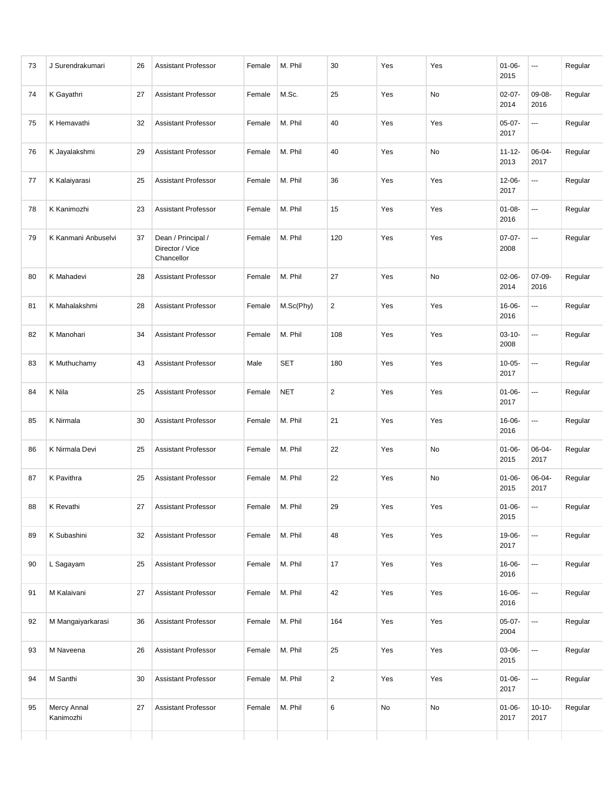| 73 | J Surendrakumari         | 26 | <b>Assistant Professor</b>                          | Female | M. Phil    | 30             | Yes | Yes | $01 - 06 -$<br>2015 | $\cdots$                 | Regular |
|----|--------------------------|----|-----------------------------------------------------|--------|------------|----------------|-----|-----|---------------------|--------------------------|---------|
| 74 | K Gayathri               | 27 | <b>Assistant Professor</b>                          | Female | M.Sc.      | 25             | Yes | No  | $02 - 07 -$<br>2014 | 09-08-<br>2016           | Regular |
| 75 | K Hemavathi              | 32 | <b>Assistant Professor</b>                          | Female | M. Phil    | 40             | Yes | Yes | $05-07-$<br>2017    | $\sim$ $\sim$            | Regular |
| 76 | K Jayalakshmi            | 29 | <b>Assistant Professor</b>                          | Female | M. Phil    | 40             | Yes | No  | $11 - 12 -$<br>2013 | 06-04-<br>2017           | Regular |
| 77 | K Kalaiyarasi            | 25 | <b>Assistant Professor</b>                          | Female | M. Phil    | 36             | Yes | Yes | $12 - 06 -$<br>2017 | ---                      | Regular |
| 78 | K Kanimozhi              | 23 | <b>Assistant Professor</b>                          | Female | M. Phil    | 15             | Yes | Yes | $01 - 08 -$<br>2016 | $\overline{\phantom{a}}$ | Regular |
| 79 | K Kanmani Anbuselvi      | 37 | Dean / Principal /<br>Director / Vice<br>Chancellor | Female | M. Phil    | 120            | Yes | Yes | $07-07-$<br>2008    | $\overline{\phantom{a}}$ | Regular |
| 80 | K Mahadevi               | 28 | <b>Assistant Professor</b>                          | Female | M. Phil    | 27             | Yes | No  | 02-06-<br>2014      | $07 - 09 -$<br>2016      | Regular |
| 81 | K Mahalakshmi            | 28 | <b>Assistant Professor</b>                          | Female | M.Sc(Phy)  | $\overline{2}$ | Yes | Yes | 16-06-<br>2016      | ---                      | Regular |
| 82 | K Manohari               | 34 | <b>Assistant Professor</b>                          | Female | M. Phil    | 108            | Yes | Yes | $03 - 10 -$<br>2008 | $\sim$                   | Regular |
| 83 | K Muthuchamy             | 43 | <b>Assistant Professor</b>                          | Male   | <b>SET</b> | 180            | Yes | Yes | $10 - 05 -$<br>2017 | $\sim$                   | Regular |
| 84 | K Nila                   | 25 | <b>Assistant Professor</b>                          | Female | <b>NET</b> | $\overline{2}$ | Yes | Yes | $01 - 06 -$<br>2017 | $\overline{\phantom{a}}$ | Regular |
| 85 | K Nirmala                | 30 | <b>Assistant Professor</b>                          | Female | M. Phil    | 21             | Yes | Yes | 16-06-<br>2016      | $\overline{\phantom{a}}$ | Regular |
| 86 | K Nirmala Devi           | 25 | <b>Assistant Professor</b>                          | Female | M. Phil    | 22             | Yes | No  | $01 - 06 -$<br>2015 | 06-04-<br>2017           | Regular |
| 87 | K Pavithra               | 25 | <b>Assistant Professor</b>                          | Female | M. Phil    | 22             | Yes | No  | $01 - 06 -$<br>2015 | 06-04-<br>2017           | Regular |
| 88 | K Revathi                | 27 | <b>Assistant Professor</b>                          | Female | M. Phil    | 29             | Yes | Yes | $01 - 06 -$<br>2015 | $\overline{\phantom{a}}$ | Regular |
| 89 | K Subashini              | 32 | <b>Assistant Professor</b>                          | Female | M. Phil    | 48             | Yes | Yes | 19-06-<br>2017      | $\hspace{0.05cm} \ldots$ | Regular |
| 90 | L Sagayam                | 25 | <b>Assistant Professor</b>                          | Female | M. Phil    | 17             | Yes | Yes | 16-06-<br>2016      | $\hspace{0.05cm} \ldots$ | Regular |
| 91 | M Kalaivani              | 27 | <b>Assistant Professor</b>                          | Female | M. Phil    | 42             | Yes | Yes | 16-06-<br>2016      | $\hspace{0.05cm} \ldots$ | Regular |
| 92 | M Mangaiyarkarasi        | 36 | <b>Assistant Professor</b>                          | Female | M. Phil    | 164            | Yes | Yes | $05-07-$<br>2004    | ---                      | Regular |
| 93 | M Naveena                | 26 | <b>Assistant Professor</b>                          | Female | M. Phil    | 25             | Yes | Yes | 03-06-<br>2015      | $\hspace{0.05cm} \ldots$ | Regular |
| 94 | M Santhi                 | 30 | <b>Assistant Professor</b>                          | Female | M. Phil    | $\overline{2}$ | Yes | Yes | $01 - 06 -$<br>2017 | $\hspace{0.05cm} \ldots$ | Regular |
| 95 | Mercy Annal<br>Kanimozhi | 27 | <b>Assistant Professor</b>                          | Female | M. Phil    | 6              | No  | No  | $01 - 06 -$<br>2017 | $10 - 10 -$<br>2017      | Regular |
|    |                          |    |                                                     |        |            |                |     |     |                     |                          |         |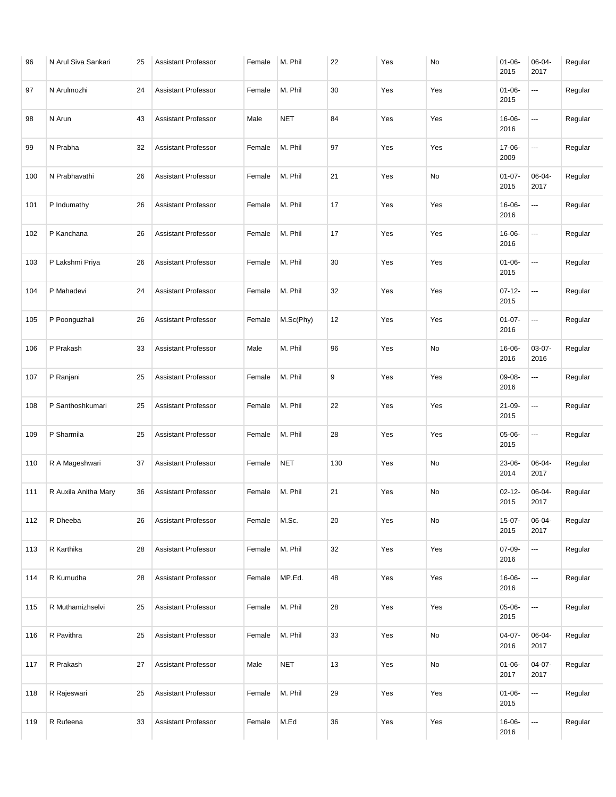| 96  | N Arul Siva Sankari  | 25 | <b>Assistant Professor</b> | Female | M. Phil    | 22  | Yes | No  | $01 - 06 -$<br>2015 | 06-04-<br>2017   | Regular |
|-----|----------------------|----|----------------------------|--------|------------|-----|-----|-----|---------------------|------------------|---------|
| 97  | N Arulmozhi          | 24 | <b>Assistant Professor</b> | Female | M. Phil    | 30  | Yes | Yes | $01 - 06 -$<br>2015 | ---              | Regular |
| 98  | N Arun               | 43 | <b>Assistant Professor</b> | Male   | <b>NET</b> | 84  | Yes | Yes | 16-06-<br>2016      | ---              | Regular |
| 99  | N Prabha             | 32 | <b>Assistant Professor</b> | Female | M. Phil    | 97  | Yes | Yes | 17-06-<br>2009      | ---              | Regular |
| 100 | N Prabhavathi        | 26 | <b>Assistant Professor</b> | Female | M. Phil    | 21  | Yes | No  | $01 - 07 -$<br>2015 | 06-04-<br>2017   | Regular |
| 101 | P Indumathy          | 26 | <b>Assistant Professor</b> | Female | M. Phil    | 17  | Yes | Yes | 16-06-<br>2016      | ---              | Regular |
| 102 | P Kanchana           | 26 | <b>Assistant Professor</b> | Female | M. Phil    | 17  | Yes | Yes | 16-06-<br>2016      | ---              | Regular |
| 103 | P Lakshmi Priya      | 26 | <b>Assistant Professor</b> | Female | M. Phil    | 30  | Yes | Yes | $01 - 06 -$<br>2015 | ---              | Regular |
| 104 | P Mahadevi           | 24 | <b>Assistant Professor</b> | Female | M. Phil    | 32  | Yes | Yes | $07 - 12 -$<br>2015 | ---              | Regular |
| 105 | P Poonguzhali        | 26 | <b>Assistant Professor</b> | Female | M.Sc(Phy)  | 12  | Yes | Yes | $01 - 07 -$<br>2016 | ---              | Regular |
| 106 | P Prakash            | 33 | <b>Assistant Professor</b> | Male   | M. Phil    | 96  | Yes | No  | 16-06-<br>2016      | $03-07-$<br>2016 | Regular |
| 107 | P Ranjani            | 25 | <b>Assistant Professor</b> | Female | M. Phil    | 9   | Yes | Yes | 09-08-<br>2016      | ---              | Regular |
| 108 | P Santhoshkumari     | 25 | <b>Assistant Professor</b> | Female | M. Phil    | 22  | Yes | Yes | $21 - 09 -$<br>2015 | ---              | Regular |
| 109 | P Sharmila           | 25 | <b>Assistant Professor</b> | Female | M. Phil    | 28  | Yes | Yes | 05-06-<br>2015      | ---              | Regular |
| 110 | R A Mageshwari       | 37 | <b>Assistant Professor</b> | Female | <b>NET</b> | 130 | Yes | No  | 23-06-<br>2014      | 06-04-<br>2017   | Regular |
| 111 | R Auxila Anitha Mary | 36 | <b>Assistant Professor</b> | Female | M. Phil    | 21  | Yes | No  | $02 - 12 -$<br>2015 | 06-04-<br>2017   | Regular |
| 112 | R Dheeba             | 26 | Assistant Professor        | Female | M.Sc.      | 20  | Yes | No  | $15-07-$<br>2015    | 06-04-<br>2017   | Regular |
| 113 | R Karthika           | 28 | <b>Assistant Professor</b> | Female | M. Phil    | 32  | Yes | Yes | $07 - 09 -$<br>2016 | ---              | Regular |
| 114 | R Kumudha            | 28 | <b>Assistant Professor</b> | Female | MP.Ed.     | 48  | Yes | Yes | 16-06-<br>2016      | ---              | Regular |
| 115 | R Muthamizhselvi     | 25 | Assistant Professor        | Female | M. Phil    | 28  | Yes | Yes | 05-06-<br>2015      | ---              | Regular |
| 116 | R Pavithra           | 25 | Assistant Professor        | Female | M. Phil    | 33  | Yes | No  | $04-07-$<br>2016    | 06-04-<br>2017   | Regular |
| 117 | R Prakash            | 27 | <b>Assistant Professor</b> | Male   | <b>NET</b> | 13  | Yes | No  | $01 - 06 -$<br>2017 | $04-07-$<br>2017 | Regular |
| 118 | R Rajeswari          | 25 | Assistant Professor        | Female | M. Phil    | 29  | Yes | Yes | $01 - 06 -$<br>2015 | ---              | Regular |
| 119 | R Rufeena            | 33 | Assistant Professor        | Female | M.Ed       | 36  | Yes | Yes | 16-06-<br>2016      | ---              | Regular |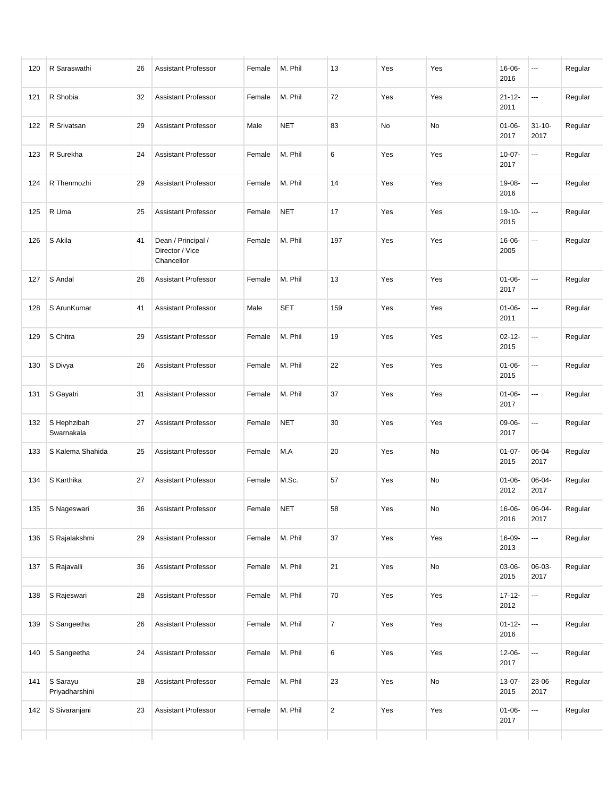| 120 | R Saraswathi               | 26 | <b>Assistant Professor</b>                          | Female | M. Phil    | 13             | Yes | Yes           | 16-06-<br>2016      | $\cdots$                 | Regular |
|-----|----------------------------|----|-----------------------------------------------------|--------|------------|----------------|-----|---------------|---------------------|--------------------------|---------|
| 121 | R Shobia                   | 32 | <b>Assistant Professor</b>                          | Female | M. Phil    | 72             | Yes | Yes           | $21 - 12 -$<br>2011 | ---                      | Regular |
| 122 | R Srivatsan                | 29 | <b>Assistant Professor</b>                          | Male   | <b>NET</b> | 83             | No  | No            | $01 - 06 -$<br>2017 | $31 - 10 -$<br>2017      | Regular |
| 123 | R Surekha                  | 24 | <b>Assistant Professor</b>                          | Female | M. Phil    | 6              | Yes | Yes           | $10 - 07 -$<br>2017 | ---                      | Regular |
| 124 | R Thenmozhi                | 29 | <b>Assistant Professor</b>                          | Female | M. Phil    | 14             | Yes | Yes           | 19-08-<br>2016      | ---                      | Regular |
| 125 | R Uma                      | 25 | <b>Assistant Professor</b>                          | Female | <b>NET</b> | 17             | Yes | Yes           | $19 - 10 -$<br>2015 | ---                      | Regular |
| 126 | S Akila                    | 41 | Dean / Principal /<br>Director / Vice<br>Chancellor | Female | M. Phil    | 197            | Yes | Yes           | 16-06-<br>2005      | ---                      | Regular |
| 127 | S Andal                    | 26 | <b>Assistant Professor</b>                          | Female | M. Phil    | 13             | Yes | Yes           | $01 - 06 -$<br>2017 | $\sim$                   | Regular |
| 128 | S ArunKumar                | 41 | <b>Assistant Professor</b>                          | Male   | <b>SET</b> | 159            | Yes | Yes           | $01 - 06 -$<br>2011 | ---                      | Regular |
| 129 | S Chitra                   | 29 | <b>Assistant Professor</b>                          | Female | M. Phil    | 19             | Yes | Yes           | $02 - 12 -$<br>2015 | ---                      | Regular |
| 130 | S Divya                    | 26 | <b>Assistant Professor</b>                          | Female | M. Phil    | 22             | Yes | Yes           | $01 - 06 -$<br>2015 | ---                      | Regular |
| 131 | S Gayatri                  | 31 | <b>Assistant Professor</b>                          | Female | M. Phil    | 37             | Yes | Yes           | $01 - 06 -$<br>2017 | ---                      | Regular |
| 132 | S Hephzibah<br>Swarnakala  | 27 | <b>Assistant Professor</b>                          | Female | <b>NET</b> | 30             | Yes | Yes           | 09-06-<br>2017      | ---                      | Regular |
| 133 | S Kalema Shahida           | 25 | <b>Assistant Professor</b>                          | Female | M.A        | 20             | Yes | No            | $01 - 07 -$<br>2015 | 06-04-<br>2017           | Regular |
| 134 | S Karthika                 | 27 | <b>Assistant Professor</b>                          | Female | M.Sc.      | 57             | Yes | No            | $01 - 06 -$<br>2012 | $06 - 04 -$<br>2017      | Regular |
| 135 | S Nageswari                | 36 | Assistant Professor                                 | Female | <b>NET</b> | 58             | Yes | $\mathsf{No}$ | 16-06-<br>2016      | 06-04-<br>2017           | Regular |
| 136 | S Rajalakshmi              | 29 | <b>Assistant Professor</b>                          | Female | M. Phil    | 37             | Yes | Yes           | 16-09-<br>2013      | ---                      | Regular |
| 137 | S Rajavalli                | 36 | <b>Assistant Professor</b>                          | Female | M. Phil    | 21             | Yes | No            | 03-06-<br>2015      | 06-03-<br>2017           | Regular |
| 138 | S Rajeswari                | 28 | <b>Assistant Professor</b>                          | Female | M. Phil    | 70             | Yes | Yes           | $17 - 12 -$<br>2012 | ---                      | Regular |
| 139 | S Sangeetha                | 26 | <b>Assistant Professor</b>                          | Female | M. Phil    | $\overline{7}$ | Yes | Yes           | $01 - 12 -$<br>2016 | $\hspace{0.05cm} \ldots$ | Regular |
| 140 | S Sangeetha                | 24 | <b>Assistant Professor</b>                          | Female | M. Phil    | 6              | Yes | Yes           | $12 - 06 -$<br>2017 | $\hspace{0.05cm} \ldots$ | Regular |
| 141 | S Sarayu<br>Priyadharshini | 28 | <b>Assistant Professor</b>                          | Female | M. Phil    | 23             | Yes | No            | $13-07-$<br>2015    | 23-06-<br>2017           | Regular |
| 142 | S Sivaranjani              | 23 | <b>Assistant Professor</b>                          | Female | M. Phil    | $\overline{2}$ | Yes | Yes           | $01 - 06 -$<br>2017 | ---                      | Regular |
|     |                            |    |                                                     |        |            |                |     |               |                     |                          |         |